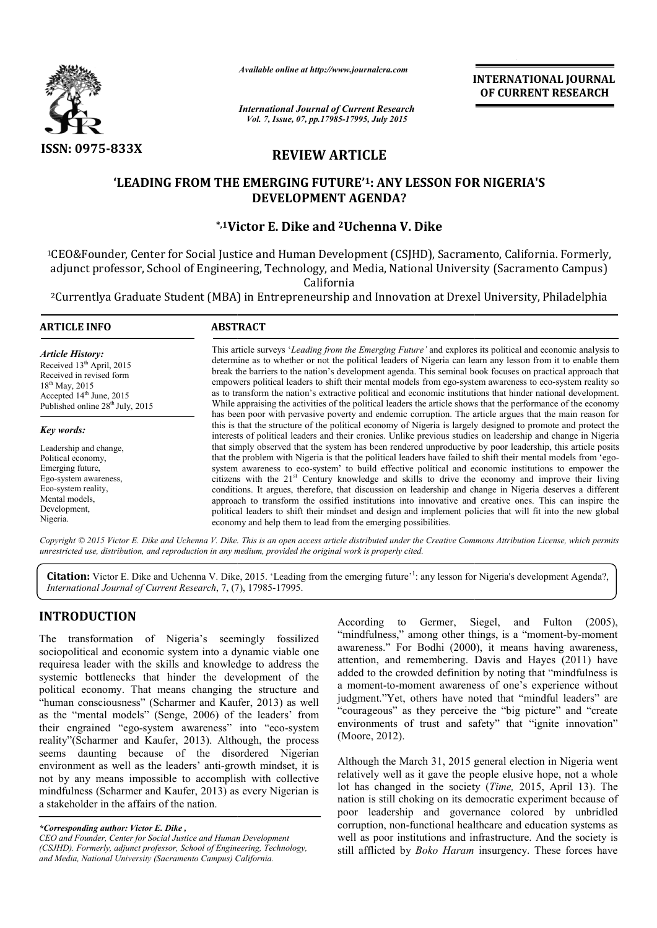

*Available online at http://www.journalcra.com*

*International Journal of Current Research Vol. 7, Issue, 07, pp.17985-17995, July 2015*

**INTERNATIONAL INTERNATIONAL JOURNAL OF CURRENT RESEARCH** 

# **REVIEW ARTICLE**

## 'LEADING FROM THE EMERGING FUTURE'<sup>1</sup>: ANY LESSON FOR NIGERIA'S **DEVELOPMENT AGENDA?**

## **\*,1Victor Victor E. Dike and 2Uchenna V. Dike**

1CEO&Founder, Center for Social Justice and Human Development (CSJHD), Sacramento, California. Formerly, CEO&Founder, California adjunct professor, School of Engineering, Technology, and Media, National University (Sacramento Campus) under, Center for Social Justice and Human Development (CSJHD), Sacramento, California.<br>professor, School of Engineering, Technology, and Media, National University (Sacramento<br>california<br>tlya Graduate Student (MBA) in Ent

2Currentlya Graduate Student (MBA) in Entrepreneurship and Innovation at Drexel University, Philadelphia rentlya

| <b>ARTICLE INFO</b>                                                                                                                                                                               | <b>ABSTRACT</b>                                                                                                                                                                                                                                                                                                                                                                                                                                                                                                                                                                                                                                                                                                                                                                                                                                                     |
|---------------------------------------------------------------------------------------------------------------------------------------------------------------------------------------------------|---------------------------------------------------------------------------------------------------------------------------------------------------------------------------------------------------------------------------------------------------------------------------------------------------------------------------------------------------------------------------------------------------------------------------------------------------------------------------------------------------------------------------------------------------------------------------------------------------------------------------------------------------------------------------------------------------------------------------------------------------------------------------------------------------------------------------------------------------------------------|
| <b>Article History:</b><br>Received 13 <sup>th</sup> April, 2015<br>Received in revised form<br>$18^{th}$ May, 2015<br>Accepted $14th$ June, 2015<br>Published online 28 <sup>th</sup> July, 2015 | This article surveys 'Leading from the Emerging Future' and explores its political and economic analysis to<br>determine as to whether or not the political leaders of Nigeria can learn any lesson from it to enable them<br>break the barriers to the nation's development agenda. This seminal book focuses on practical approach that<br>empowers political leaders to shift their mental models from ego-system awareness to eco-system reality so<br>as to transform the nation's extractive political and economic institutions that hinder national development.<br>While appraising the activities of the political leaders the article shows that the performance of the economy<br>has been poor with pervasive poverty and endemic corruption. The article argues that the main reason for                                                              |
| Key words:                                                                                                                                                                                        | this is that the structure of the political economy of Nigeria is largely designed to promote and protect the<br>interests of political leaders and their cronies. Unlike previous studies on leadership and change in Nigeria                                                                                                                                                                                                                                                                                                                                                                                                                                                                                                                                                                                                                                      |
| Leadership and change,<br>Political economy,<br>Emerging future.<br>Ego-system awareness,<br>Eco-system reality,<br>Mental models.<br>Development,<br>Nigeria.                                    | that simply observed that the system has been rendered unproductive by poor leadership, this article posits<br>that the problem with Nigeria is that the political leaders have failed to shift their mental models from 'ego-<br>system awareness to eco-system' to build effective political and economic institutions to empower the<br>citizens with the 21 <sup>st</sup> Century knowledge and skills to drive the economy and improve their living<br>conditions. It argues, therefore, that discussion on leadership and change in Nigeria deserves a different<br>approach to transform the ossified institutions into innovative and creative ones. This can inspire the<br>political leaders to shift their mindset and design and implement policies that will fit into the new global<br>economy and help them to lead from the emerging possibilities. |

Copyright © 2015 Victor E. Dike and Uchenna V. Dike. This is an open access article distributed under the Creative Commons Attribution License, which permits *unrestricted use, distribution, and reproduction in any medium, provided the original work is properly cited.*

Citation: Victor E. Dike and Uchenna V. Dike, 2015. 'Leading from the emerging future<sup>,1</sup>: any lesson for Nigeria's development Agenda?, *International Journal of Current Research*, 7, (7), 17985-17995.

## **INTRODUCTION**

The transformation of Nigeria's seemingly fossilized sociopolitical and economic system into a dynamic viable one requiresa leader with the skills and knowledge to address the systemic bottlenecks that hinder the development of the political economy. That means changing the structure and "human consciousness" (Scharmer and Kaufer, 2013) as well as the "mental models" (Senge, 2006) of the leaders' from their engrained "ego-system awareness" into "eco-system reality"(Scharmer and Kaufer, 2013). Although, the process seems daunting because of the disordered Nigerian environment as well as the leaders' anti-growth mindset, it is not by any means impossible to accomplish with collective mindfulness (Scharmer and Kaufer, 2013) as every Nigerian is a stakeholder in the affairs of the nation.

*CEO and Founder, Center for Social Justice and Human Development (CSJHD). Formerly, adjunct professor, School of Engineering, Technology, and Media, National University (Sacramento Campus) California.*

According to Germer, Siegel,<br>
a dynamic viable one<br>
a dynamic viable one<br>
a dynamic viable one<br>
a a moments." For Bodhi (2000), it is<br>
attention, and remembering. Davis<br>
development of the<br>
a dded to the crowded definition "mindfulness," among other things, is a "moment-by-moment awareness." For Bodhi (2000), it means having awareness, awareness." For Bodhi (2000), it means having awareness, attention, and remembering. Davis and Hayes (2011) have added to the crowded definition by noting that "mindfulness is a moment-to-moment awareness of one's experience without judgment."Yet, others have noted that "mindful leaders" are "courageous" as they perceive the "big picture" and "create environments of trust and safety" that "ignite innovation" (Moore, 2012). According to Germer, Siegel, and Fulton (2005), d to the crowded definition by noting that "mindfulness is<br>oment-to-moment awareness of one's experience without<br>ment."Yet, others have noted that "mindful leaders" are<br>rageous" as they perceive the "big picture" and "crea

Although the March 31, 2015 general election in Nigeria went relatively well as it gave the people elusive hope, not a whole lot has changed in the society (Time, 2015, April 13). The nation is still choking on its democratic experiment because of poor leadership and governance colored by unbridled corruption, non-functional healthcare and education systems as well as poor institutions and infrastructure. And the society is still afflicted by *Boko Haram* insurgency. These forces have experiment<br>p and governance colored by<br>functional healthcare and education

*<sup>\*</sup>Corresponding author: Victor E. Dike ,*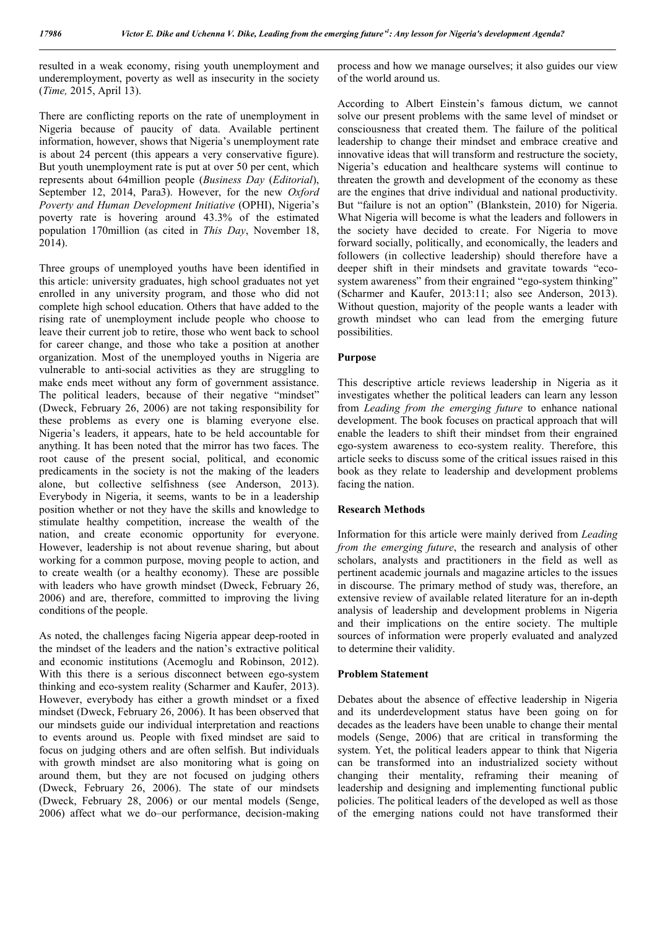resulted in a weak economy, rising youth unemployment and underemployment, poverty as well as insecurity in the society (*Time,* 2015, April 13).

There are conflicting reports on the rate of unemployment in Nigeria because of paucity of data. Available pertinent information, however, shows that Nigeria's unemployment rate is about 24 percent (this appears a very conservative figure). But youth unemployment rate is put at over 50 per cent, which represents about 64million people (*Business Day* (*Editorial*), September 12, 2014, Para3). However, for the new *Oxford Poverty and Human Development Initiative* (OPHI), Nigeria's poverty rate is hovering around 43.3% of the estimated population 170million (as cited in *This Day*, November 18, 2014).

Three groups of unemployed youths have been identified in this article: university graduates, high school graduates not yet enrolled in any university program, and those who did not complete high school education. Others that have added to the rising rate of unemployment include people who choose to leave their current job to retire, those who went back to school for career change, and those who take a position at another organization. Most of the unemployed youths in Nigeria are vulnerable to anti-social activities as they are struggling to make ends meet without any form of government assistance. The political leaders, because of their negative "mindset" (Dweck, February 26, 2006) are not taking responsibility for these problems as every one is blaming everyone else. Nigeria's leaders, it appears, hate to be held accountable for anything. It has been noted that the mirror has two faces. The root cause of the present social, political, and economic predicaments in the society is not the making of the leaders alone, but collective selfishness (see Anderson, 2013). Everybody in Nigeria, it seems, wants to be in a leadership position whether or not they have the skills and knowledge to stimulate healthy competition, increase the wealth of the nation, and create economic opportunity for everyone. However, leadership is not about revenue sharing, but about working for a common purpose, moving people to action, and to create wealth (or a healthy economy). These are possible with leaders who have growth mindset (Dweck, February 26, 2006) and are, therefore, committed to improving the living conditions of the people.

As noted, the challenges facing Nigeria appear deep-rooted in the mindset of the leaders and the nation's extractive political and economic institutions (Acemoglu and Robinson, 2012). With this there is a serious disconnect between ego-system thinking and eco-system reality (Scharmer and Kaufer, 2013). However, everybody has either a growth mindset or a fixed mindset (Dweck, February 26, 2006). It has been observed that our mindsets guide our individual interpretation and reactions to events around us. People with fixed mindset are said to focus on judging others and are often selfish. But individuals with growth mindset are also monitoring what is going on around them, but they are not focused on judging others (Dweck, February 26, 2006). The state of our mindsets (Dweck, February 28, 2006) or our mental models (Senge, 2006) affect what we do–our performance, decision-making process and how we manage ourselves; it also guides our view of the world around us.

According to Albert Einstein's famous dictum, we cannot solve our present problems with the same level of mindset or consciousness that created them. The failure of the political leadership to change their mindset and embrace creative and innovative ideas that will transform and restructure the society, Nigeria's education and healthcare systems will continue to threaten the growth and development of the economy as these are the engines that drive individual and national productivity. But "failure is not an option" (Blankstein, 2010) for Nigeria. What Nigeria will become is what the leaders and followers in the society have decided to create. For Nigeria to move forward socially, politically, and economically, the leaders and followers (in collective leadership) should therefore have a deeper shift in their mindsets and gravitate towards "ecosystem awareness" from their engrained "ego-system thinking" (Scharmer and Kaufer, 2013:11; also see Anderson, 2013). Without question, majority of the people wants a leader with growth mindset who can lead from the emerging future possibilities.

### **Purpose**

This descriptive article reviews leadership in Nigeria as it investigates whether the political leaders can learn any lesson from *Leading from the emerging future* to enhance national development. The book focuses on practical approach that will enable the leaders to shift their mindset from their engrained ego-system awareness to eco-system reality. Therefore, this article seeks to discuss some of the critical issues raised in this book as they relate to leadership and development problems facing the nation.

#### **Research Methods**

Information for this article were mainly derived from *Leading from the emerging future*, the research and analysis of other scholars, analysts and practitioners in the field as well as pertinent academic journals and magazine articles to the issues in discourse. The primary method of study was, therefore, an extensive review of available related literature for an in-depth analysis of leadership and development problems in Nigeria and their implications on the entire society. The multiple sources of information were properly evaluated and analyzed to determine their validity.

#### **Problem Statement**

Debates about the absence of effective leadership in Nigeria and its underdevelopment status have been going on for decades as the leaders have been unable to change their mental models (Senge, 2006) that are critical in transforming the system. Yet, the political leaders appear to think that Nigeria can be transformed into an industrialized society without changing their mentality, reframing their meaning of leadership and designing and implementing functional public policies. The political leaders of the developed as well as those of the emerging nations could not have transformed their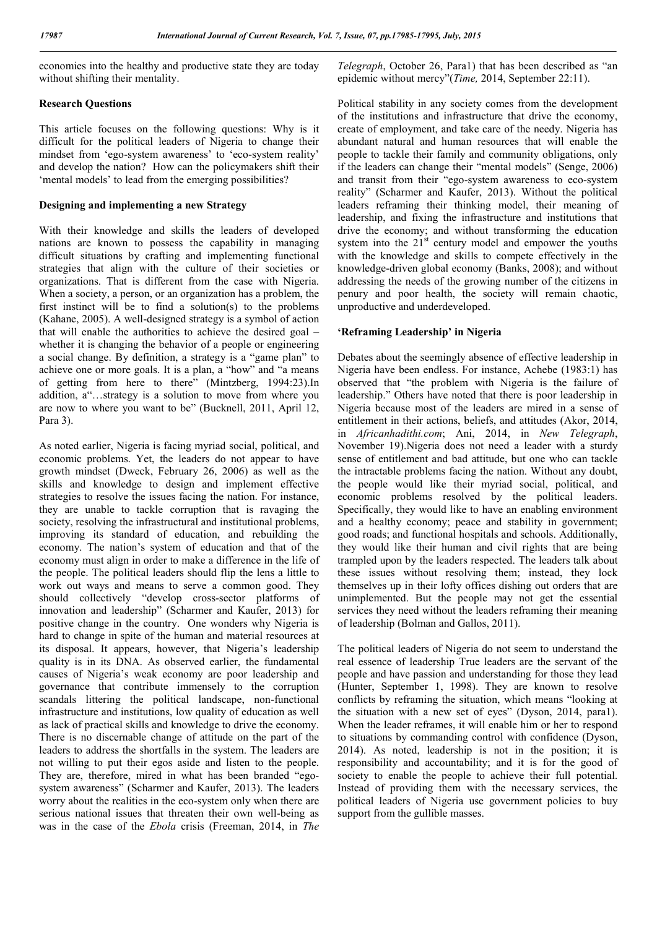economies into the healthy and productive state they are today without shifting their mentality.

## **Research Questions**

This article focuses on the following questions: Why is it difficult for the political leaders of Nigeria to change their mindset from 'ego-system awareness' to 'eco-system reality' and develop the nation? How can the policymakers shift their 'mental models' to lead from the emerging possibilities?

### **Designing and implementing a new Strategy**

With their knowledge and skills the leaders of developed nations are known to possess the capability in managing difficult situations by crafting and implementing functional strategies that align with the culture of their societies or organizations. That is different from the case with Nigeria. When a society, a person, or an organization has a problem, the first instinct will be to find a solution(s) to the problems (Kahane, 2005). A well-designed strategy is a symbol of action that will enable the authorities to achieve the desired goal – whether it is changing the behavior of a people or engineering a social change. By definition, a strategy is a "game plan" to achieve one or more goals. It is a plan, a "how" and "a means of getting from here to there" (Mintzberg, 1994:23).In addition, a"…strategy is a solution to move from where you are now to where you want to be" (Bucknell, 2011, April 12, Para 3).

As noted earlier, Nigeria is facing myriad social, political, and economic problems. Yet, the leaders do not appear to have growth mindset (Dweck, February 26, 2006) as well as the skills and knowledge to design and implement effective strategies to resolve the issues facing the nation. For instance, they are unable to tackle corruption that is ravaging the society, resolving the infrastructural and institutional problems, improving its standard of education, and rebuilding the economy. The nation's system of education and that of the economy must align in order to make a difference in the life of the people. The political leaders should flip the lens a little to work out ways and means to serve a common good. They should collectively "develop cross-sector platforms of innovation and leadership" (Scharmer and Kaufer, 2013) for positive change in the country. One wonders why Nigeria is hard to change in spite of the human and material resources at its disposal. It appears, however, that Nigeria's leadership quality is in its DNA. As observed earlier, the fundamental causes of Nigeria's weak economy are poor leadership and governance that contribute immensely to the corruption scandals littering the political landscape, non-functional infrastructure and institutions, low quality of education as well as lack of practical skills and knowledge to drive the economy. There is no discernable change of attitude on the part of the leaders to address the shortfalls in the system. The leaders are not willing to put their egos aside and listen to the people. They are, therefore, mired in what has been branded "egosystem awareness" (Scharmer and Kaufer, 2013). The leaders worry about the realities in the eco-system only when there are serious national issues that threaten their own well-being as was in the case of the *Ebola* crisis (Freeman, 2014, in *The* 

*Telegraph*, October 26, Para1) that has been described as "an epidemic without mercy"(*Time,* 2014, September 22:11).

Political stability in any society comes from the development of the institutions and infrastructure that drive the economy, create of employment, and take care of the needy. Nigeria has abundant natural and human resources that will enable the people to tackle their family and community obligations, only if the leaders can change their "mental models" (Senge, 2006) and transit from their "ego-system awareness to eco-system reality" (Scharmer and Kaufer, 2013). Without the political leaders reframing their thinking model, their meaning of leadership, and fixing the infrastructure and institutions that drive the economy; and without transforming the education system into the  $21<sup>st</sup>$  century model and empower the youths with the knowledge and skills to compete effectively in the knowledge-driven global economy (Banks, 2008); and without addressing the needs of the growing number of the citizens in penury and poor health, the society will remain chaotic, unproductive and underdeveloped.

## **'Reframing Leadership' in Nigeria**

Debates about the seemingly absence of effective leadership in Nigeria have been endless. For instance, Achebe (1983:1) has observed that "the problem with Nigeria is the failure of leadership." Others have noted that there is poor leadership in Nigeria because most of the leaders are mired in a sense of entitlement in their actions, beliefs, and attitudes (Akor, 2014, in *Africanhadithi.com*; Ani, 2014, in *New Telegraph*, November 19).Nigeria does not need a leader with a sturdy sense of entitlement and bad attitude, but one who can tackle the intractable problems facing the nation. Without any doubt, the people would like their myriad social, political, and economic problems resolved by the political leaders. Specifically, they would like to have an enabling environment and a healthy economy; peace and stability in government; good roads; and functional hospitals and schools. Additionally, they would like their human and civil rights that are being trampled upon by the leaders respected. The leaders talk about these issues without resolving them; instead, they lock themselves up in their lofty offices dishing out orders that are unimplemented. But the people may not get the essential services they need without the leaders reframing their meaning of leadership (Bolman and Gallos, 2011).

The political leaders of Nigeria do not seem to understand the real essence of leadership True leaders are the servant of the people and have passion and understanding for those they lead (Hunter, September 1, 1998). They are known to resolve conflicts by reframing the situation, which means "looking at the situation with a new set of eyes" (Dyson, 2014, para1). When the leader reframes, it will enable him or her to respond to situations by commanding control with confidence (Dyson, 2014). As noted, leadership is not in the position; it is responsibility and accountability; and it is for the good of society to enable the people to achieve their full potential. Instead of providing them with the necessary services, the political leaders of Nigeria use government policies to buy support from the gullible masses.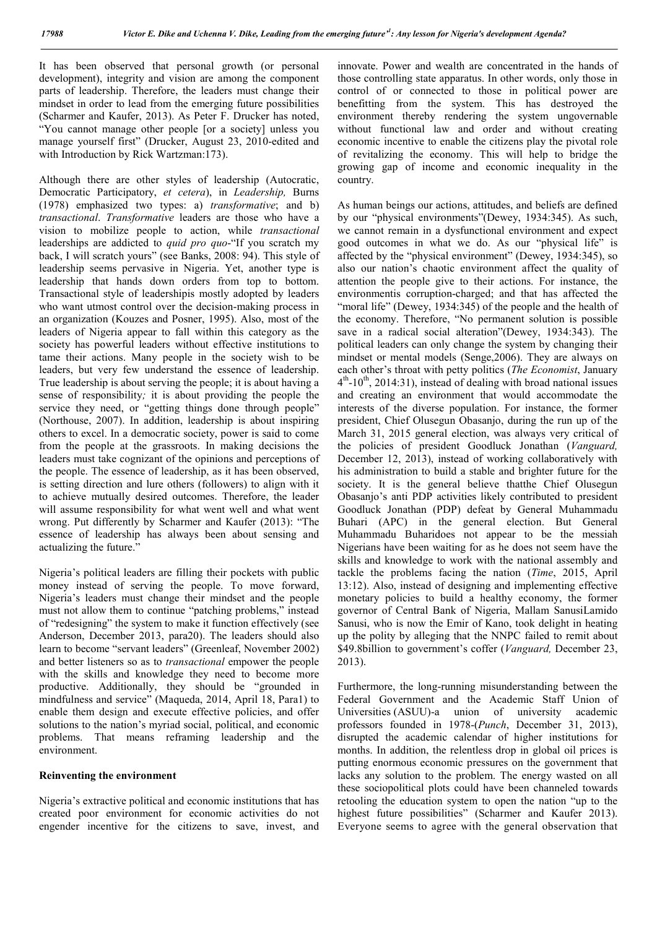It has been observed that personal growth (or personal development), integrity and vision are among the component parts of leadership. Therefore, the leaders must change their mindset in order to lead from the emerging future possibilities (Scharmer and Kaufer, 2013). As Peter F. Drucker has noted, "You cannot manage other people [or a society] unless you manage yourself first" (Drucker, August 23, 2010-edited and with Introduction by Rick Wartzman:173).

Although there are other styles of leadership (Autocratic, Democratic Participatory, *et cetera*), in *Leadership,* Burns (1978) emphasized two types: a) *transformative*; and b) *transactional*. *Transformative* leaders are those who have a vision to mobilize people to action, while *transactional* leaderships are addicted to *quid pro quo*-"If you scratch my back, I will scratch yours" (see Banks, 2008: 94). This style of leadership seems pervasive in Nigeria. Yet, another type is leadership that hands down orders from top to bottom. Transactional style of leadershipis mostly adopted by leaders who want utmost control over the decision-making process in an organization (Kouzes and Posner, 1995). Also, most of the leaders of Nigeria appear to fall within this category as the society has powerful leaders without effective institutions to tame their actions. Many people in the society wish to be leaders, but very few understand the essence of leadership. True leadership is about serving the people; it is about having a sense of responsibility*;* it is about providing the people the service they need, or "getting things done through people" (Northouse, 2007). In addition, leadership is about inspiring others to excel. In a democratic society, power is said to come from the people at the grassroots. In making decisions the leaders must take cognizant of the opinions and perceptions of the people. The essence of leadership, as it has been observed, is setting direction and lure others (followers) to align with it to achieve mutually desired outcomes. Therefore, the leader will assume responsibility for what went well and what went wrong. Put differently by Scharmer and Kaufer (2013): "The essence of leadership has always been about sensing and actualizing the future."

Nigeria's political leaders are filling their pockets with public money instead of serving the people. To move forward, Nigeria's leaders must change their mindset and the people must not allow them to continue "patching problems," instead of "redesigning" the system to make it function effectively (see Anderson, December 2013, para20). The leaders should also learn to become "servant leaders" (Greenleaf, November 2002) and better listeners so as to *transactional* empower the people with the skills and knowledge they need to become more productive. Additionally, they should be "grounded in mindfulness and service" (Maqueda, 2014, April 18, Para1) to enable them design and execute effective policies, and offer solutions to the nation's myriad social, political, and economic problems. That means reframing leadership and the environment.

#### **Reinventing the environment**

Nigeria's extractive political and economic institutions that has created poor environment for economic activities do not engender incentive for the citizens to save, invest, and innovate. Power and wealth are concentrated in the hands of those controlling state apparatus. In other words, only those in control of or connected to those in political power are benefitting from the system. This has destroyed the environment thereby rendering the system ungovernable without functional law and order and without creating economic incentive to enable the citizens play the pivotal role of revitalizing the economy. This will help to bridge the growing gap of income and economic inequality in the country.

As human beings our actions, attitudes, and beliefs are defined by our "physical environments"(Dewey, 1934:345). As such, we cannot remain in a dysfunctional environment and expect good outcomes in what we do. As our "physical life" is affected by the "physical environment" (Dewey, 1934:345), so also our nation's chaotic environment affect the quality of attention the people give to their actions. For instance, the environmentis corruption-charged; and that has affected the "moral life" (Dewey, 1934:345) of the people and the health of the economy. Therefore, "No permanent solution is possible save in a radical social alteration"(Dewey, 1934:343). The political leaders can only change the system by changing their mindset or mental models (Senge,2006). They are always on each other's throat with petty politics (*The Economist*, January  $4<sup>th</sup>$ -10<sup>th</sup>, 2014:31), instead of dealing with broad national issues and creating an environment that would accommodate the interests of the diverse population. For instance, the former president, Chief Olusegun Obasanjo, during the run up of the March 31, 2015 general election, was always very critical of the policies of president Goodluck Jonathan (*Vanguard,* December 12, 2013), instead of working collaboratively with his administration to build a stable and brighter future for the society. It is the general believe thatthe Chief Olusegun Obasanjo's anti PDP activities likely contributed to president Goodluck Jonathan (PDP) defeat by General Muhammadu Buhari (APC) in the general election. But General Muhammadu Buharidoes not appear to be the messiah Nigerians have been waiting for as he does not seem have the skills and knowledge to work with the national assembly and tackle the problems facing the nation (*Time*, 2015, April 13:12). Also, instead of designing and implementing effective monetary policies to build a healthy economy, the former governor of Central Bank of Nigeria, Mallam SanusiLamido Sanusi, who is now the Emir of Kano, took delight in heating up the polity by alleging that the NNPC failed to remit about \$49.8billion to government's coffer (*Vanguard,* December 23, 2013).

Furthermore, the long-running misunderstanding between the Federal Government and the Academic Staff Union of Universities (ASUU)-a union of university academic professors founded in 1978-(*Punch*, December 31, 2013), disrupted the academic calendar of higher institutions for months. In addition, the relentless drop in global oil prices is putting enormous economic pressures on the government that lacks any solution to the problem. The energy wasted on all these sociopolitical plots could have been channeled towards retooling the education system to open the nation "up to the highest future possibilities" (Scharmer and Kaufer 2013). Everyone seems to agree with the general observation that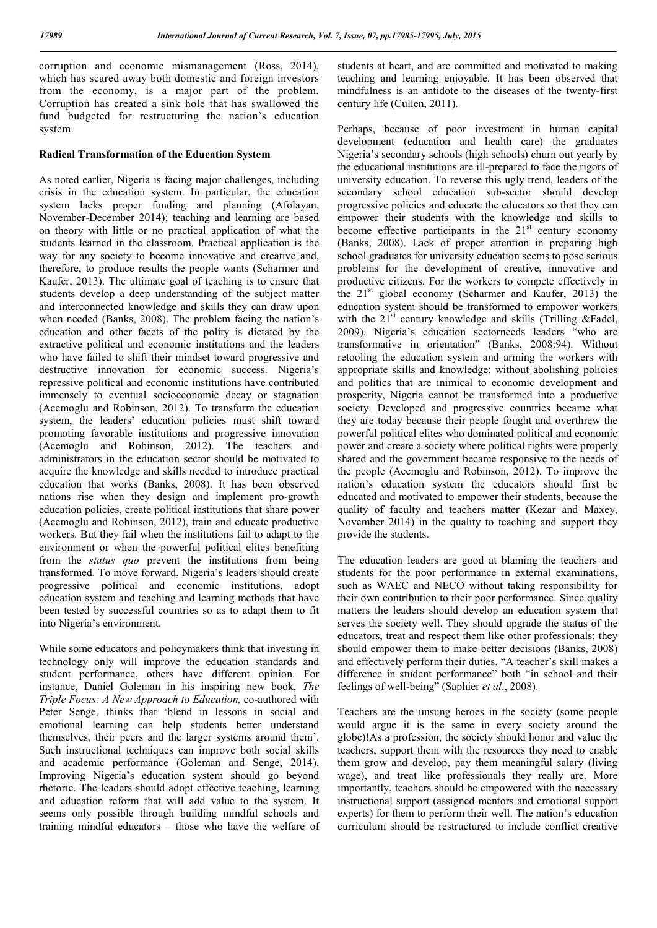corruption and economic mismanagement (Ross, 2014), which has scared away both domestic and foreign investors from the economy, is a major part of the problem. Corruption has created a sink hole that has swallowed the fund budgeted for restructuring the nation's education system.

### **Radical Transformation of the Education System**

As noted earlier, Nigeria is facing major challenges, including crisis in the education system. In particular, the education system lacks proper funding and planning (Afolayan, November-December 2014); teaching and learning are based on theory with little or no practical application of what the students learned in the classroom. Practical application is the way for any society to become innovative and creative and, therefore, to produce results the people wants (Scharmer and Kaufer, 2013). The ultimate goal of teaching is to ensure that students develop a deep understanding of the subject matter and interconnected knowledge and skills they can draw upon when needed (Banks, 2008). The problem facing the nation's education and other facets of the polity is dictated by the extractive political and economic institutions and the leaders who have failed to shift their mindset toward progressive and destructive innovation for economic success. Nigeria's repressive political and economic institutions have contributed immensely to eventual socioeconomic decay or stagnation (Acemoglu and Robinson, 2012). To transform the education system, the leaders' education policies must shift toward promoting favorable institutions and progressive innovation (Acemoglu and Robinson, 2012). The teachers and administrators in the education sector should be motivated to acquire the knowledge and skills needed to introduce practical education that works (Banks, 2008). It has been observed nations rise when they design and implement pro-growth education policies, create political institutions that share power (Acemoglu and Robinson, 2012), train and educate productive workers. But they fail when the institutions fail to adapt to the environment or when the powerful political elites benefiting from the *status quo* prevent the institutions from being transformed. To move forward, Nigeria's leaders should create progressive political and economic institutions, adopt education system and teaching and learning methods that have been tested by successful countries so as to adapt them to fit into Nigeria's environment.

While some educators and policymakers think that investing in technology only will improve the education standards and student performance, others have different opinion. For instance, Daniel Goleman in his inspiring new book, *The Triple Focus: A New Approach to Education,* co-authored with Peter Senge, thinks that 'blend in lessons in social and emotional learning can help students better understand themselves, their peers and the larger systems around them'. Such instructional techniques can improve both social skills and academic performance (Goleman and Senge, 2014). Improving Nigeria's education system should go beyond rhetoric. The leaders should adopt effective teaching, learning and education reform that will add value to the system. It seems only possible through building mindful schools and training mindful educators – those who have the welfare of students at heart, and are committed and motivated to making teaching and learning enjoyable. It has been observed that mindfulness is an antidote to the diseases of the twenty-first century life (Cullen, 2011).

Perhaps, because of poor investment in human capital development (education and health care) the graduates Nigeria's secondary schools (high schools) churn out yearly by the educational institutions are ill-prepared to face the rigors of university education. To reverse this ugly trend, leaders of the secondary school education sub-sector should develop progressive policies and educate the educators so that they can empower their students with the knowledge and skills to become effective participants in the  $21<sup>st</sup>$  century economy (Banks, 2008). Lack of proper attention in preparing high school graduates for university education seems to pose serious problems for the development of creative, innovative and productive citizens. For the workers to compete effectively in the  $21<sup>st</sup>$  global economy (Scharmer and Kaufer, 2013) the education system should be transformed to empower workers with the  $21^{st}$  century knowledge and skills (Trilling &Fadel, 2009). Nigeria's education sectorneeds leaders "who are transformative in orientation" (Banks, 2008:94). Without retooling the education system and arming the workers with appropriate skills and knowledge; without abolishing policies and politics that are inimical to economic development and prosperity, Nigeria cannot be transformed into a productive society. Developed and progressive countries became what they are today because their people fought and overthrew the powerful political elites who dominated political and economic power and create a society where political rights were properly shared and the government became responsive to the needs of the people (Acemoglu and Robinson, 2012). To improve the nation's education system the educators should first be educated and motivated to empower their students, because the quality of faculty and teachers matter (Kezar and Maxey, November 2014) in the quality to teaching and support they provide the students.

The education leaders are good at blaming the teachers and students for the poor performance in external examinations, such as WAEC and NECO without taking responsibility for their own contribution to their poor performance. Since quality matters the leaders should develop an education system that serves the society well. They should upgrade the status of the educators, treat and respect them like other professionals; they should empower them to make better decisions (Banks, 2008) and effectively perform their duties. "A teacher's skill makes a difference in student performance" both "in school and their feelings of well-being" (Saphier *et al*., 2008).

Teachers are the unsung heroes in the society (some people would argue it is the same in every society around the globe)!As a profession, the society should honor and value the teachers, support them with the resources they need to enable them grow and develop, pay them meaningful salary (living wage), and treat like professionals they really are. More importantly, teachers should be empowered with the necessary instructional support (assigned mentors and emotional support experts) for them to perform their well. The nation's education curriculum should be restructured to include conflict creative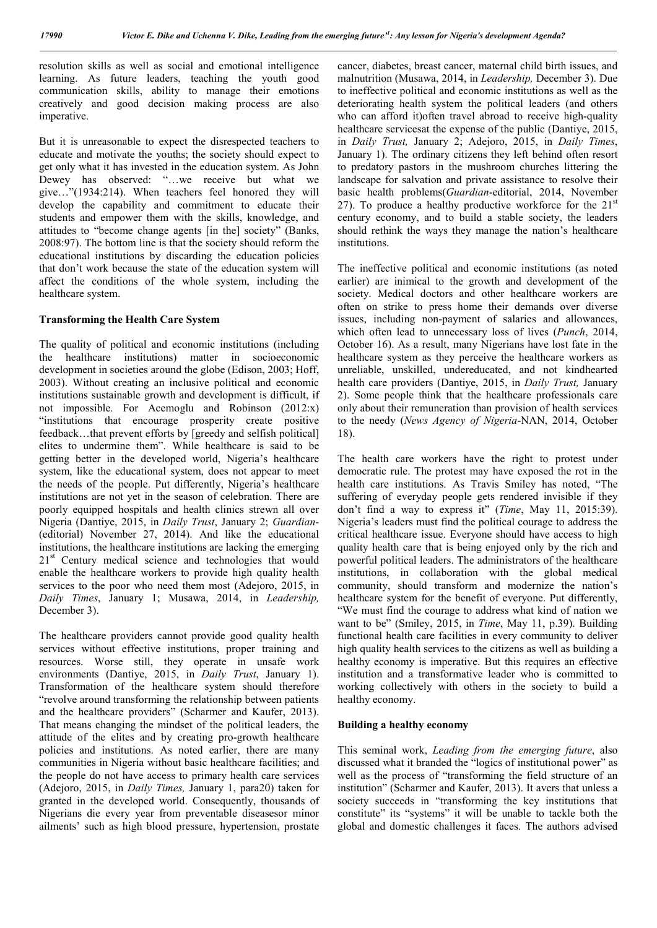resolution skills as well as social and emotional intelligence learning. As future leaders, teaching the youth good communication skills, ability to manage their emotions creatively and good decision making process are also imperative.

But it is unreasonable to expect the disrespected teachers to educate and motivate the youths; the society should expect to get only what it has invested in the education system. As John Dewey has observed: "…we receive but what we give…"(1934:214). When teachers feel honored they will develop the capability and commitment to educate their students and empower them with the skills, knowledge, and attitudes to "become change agents [in the] society" (Banks, 2008:97). The bottom line is that the society should reform the educational institutions by discarding the education policies that don't work because the state of the education system will affect the conditions of the whole system, including the healthcare system.

## **Transforming the Health Care System**

The quality of political and economic institutions (including the healthcare institutions) matter in socioeconomic development in societies around the globe (Edison, 2003; Hoff, 2003). Without creating an inclusive political and economic institutions sustainable growth and development is difficult, if not impossible. For Acemoglu and Robinson (2012:x) "institutions that encourage prosperity create positive feedback…that prevent efforts by [greedy and selfish political] elites to undermine them". While healthcare is said to be getting better in the developed world, Nigeria's healthcare system, like the educational system, does not appear to meet the needs of the people. Put differently, Nigeria's healthcare institutions are not yet in the season of celebration. There are poorly equipped hospitals and health clinics strewn all over Nigeria (Dantiye, 2015, in *Daily Trust*, January 2; *Guardian*- (editorial) November 27, 2014). And like the educational institutions, the healthcare institutions are lacking the emerging 21<sup>st</sup> Century medical science and technologies that would enable the healthcare workers to provide high quality health services to the poor who need them most (Adejoro, 2015, in *Daily Times*, January 1; Musawa, 2014, in *Leadership,* December 3).

The healthcare providers cannot provide good quality health services without effective institutions, proper training and resources. Worse still, they operate in unsafe work environments (Dantiye, 2015, in *Daily Trust*, January 1). Transformation of the healthcare system should therefore "revolve around transforming the relationship between patients and the healthcare providers" (Scharmer and Kaufer, 2013). That means changing the mindset of the political leaders, the attitude of the elites and by creating pro-growth healthcare policies and institutions. As noted earlier, there are many communities in Nigeria without basic healthcare facilities; and the people do not have access to primary health care services (Adejoro, 2015, in *Daily Times,* January 1, para20) taken for granted in the developed world. Consequently, thousands of Nigerians die every year from preventable diseasesor minor ailments' such as high blood pressure, hypertension, prostate

cancer, diabetes, breast cancer, maternal child birth issues, and malnutrition (Musawa, 2014, in *Leadership,* December 3). Due to ineffective political and economic institutions as well as the deteriorating health system the political leaders (and others who can afford it)often travel abroad to receive high-quality healthcare servicesat the expense of the public (Dantiye, 2015, in *Daily Trust,* January 2; Adejoro, 2015, in *Daily Times*, January 1). The ordinary citizens they left behind often resort to predatory pastors in the mushroom churches littering the landscape for salvation and private assistance to resolve their basic health problems(*Guardian*-editorial, 2014, November 27). To produce a healthy productive workforce for the  $21<sup>st</sup>$ century economy, and to build a stable society, the leaders should rethink the ways they manage the nation's healthcare institutions.

The ineffective political and economic institutions (as noted earlier) are inimical to the growth and development of the society. Medical doctors and other healthcare workers are often on strike to press home their demands over diverse issues, including non-payment of salaries and allowances, which often lead to unnecessary loss of lives (*Punch*, 2014, October 16). As a result, many Nigerians have lost fate in the healthcare system as they perceive the healthcare workers as unreliable, unskilled, undereducated, and not kindhearted health care providers (Dantiye, 2015, in *Daily Trust,* January 2). Some people think that the healthcare professionals care only about their remuneration than provision of health services to the needy (*News Agency of Nigeria*-NAN, 2014, October 18).

The health care workers have the right to protest under democratic rule. The protest may have exposed the rot in the health care institutions. As Travis Smiley has noted, "The suffering of everyday people gets rendered invisible if they don't find a way to express it" (*Time*, May 11, 2015:39). Nigeria's leaders must find the political courage to address the critical healthcare issue. Everyone should have access to high quality health care that is being enjoyed only by the rich and powerful political leaders. The administrators of the healthcare institutions, in collaboration with the global medical community, should transform and modernize the nation's healthcare system for the benefit of everyone. Put differently, "We must find the courage to address what kind of nation we want to be" (Smiley, 2015, in *Time*, May 11, p.39). Building functional health care facilities in every community to deliver high quality health services to the citizens as well as building a healthy economy is imperative. But this requires an effective institution and a transformative leader who is committed to working collectively with others in the society to build a healthy economy.

#### **Building a healthy economy**

This seminal work, *Leading from the emerging future*, also discussed what it branded the "logics of institutional power" as well as the process of "transforming the field structure of an institution" (Scharmer and Kaufer, 2013). It avers that unless a society succeeds in "transforming the key institutions that constitute" its "systems" it will be unable to tackle both the global and domestic challenges it faces. The authors advised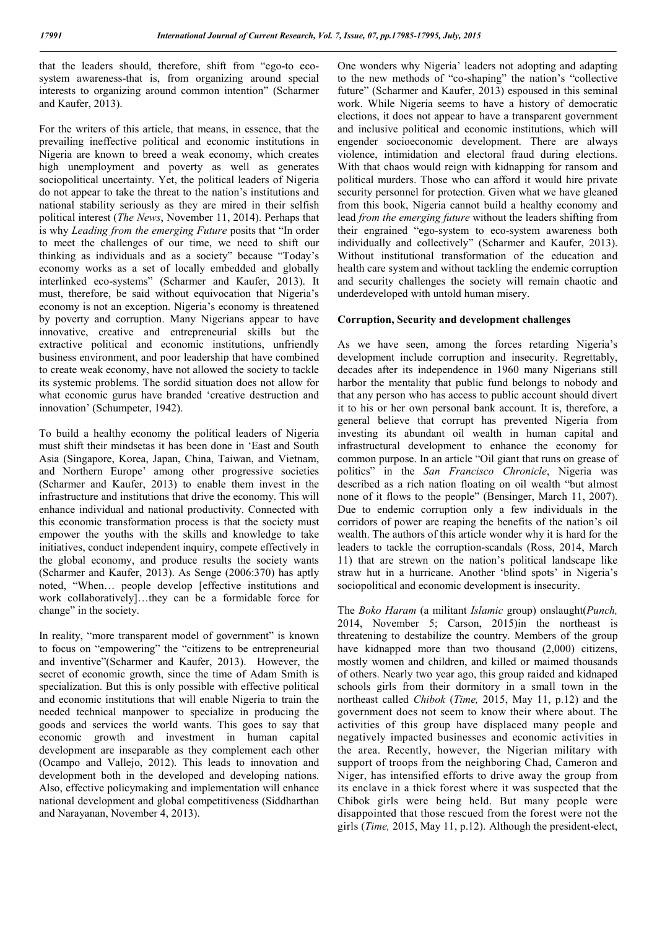that the leaders should, therefore, shift from "ego-to ecosystem awareness-that is, from organizing around special interests to organizing around common intention" (Scharmer and Kaufer, 2013).

For the writers of this article, that means, in essence, that the prevailing ineffective political and economic institutions in Nigeria are known to breed a weak economy, which creates high unemployment and poverty as well as generates sociopolitical uncertainty. Yet, the political leaders of Nigeria do not appear to take the threat to the nation's institutions and national stability seriously as they are mired in their selfish political interest (*The News*, November 11, 2014). Perhaps that is why *Leading from the emerging Future* posits that "In order to meet the challenges of our time, we need to shift our thinking as individuals and as a society" because "Today's economy works as a set of locally embedded and globally interlinked eco-systems" (Scharmer and Kaufer, 2013). It must, therefore, be said without equivocation that Nigeria's economy is not an exception. Nigeria's economy is threatened by poverty and corruption. Many Nigerians appear to have innovative, creative and entrepreneurial skills but the extractive political and economic institutions, unfriendly business environment, and poor leadership that have combined to create weak economy, have not allowed the society to tackle its systemic problems. The sordid situation does not allow for what economic gurus have branded 'creative destruction and innovation' (Schumpeter, 1942).

To build a healthy economy the political leaders of Nigeria must shift their mindsetas it has been done in 'East and South Asia (Singapore, Korea, Japan, China, Taiwan, and Vietnam, and Northern Europe' among other progressive societies (Scharmer and Kaufer, 2013) to enable them invest in the infrastructure and institutions that drive the economy. This will enhance individual and national productivity. Connected with this economic transformation process is that the society must empower the youths with the skills and knowledge to take initiatives, conduct independent inquiry, compete effectively in the global economy, and produce results the society wants (Scharmer and Kaufer, 2013). As Senge (2006:370) has aptly noted, "When… people develop [effective institutions and work collaboratively]…they can be a formidable force for change" in the society.

In reality, "more transparent model of government" is known to focus on "empowering" the "citizens to be entrepreneurial and inventive"(Scharmer and Kaufer, 2013). However, the secret of economic growth, since the time of Adam Smith is specialization. But this is only possible with effective political and economic institutions that will enable Nigeria to train the needed technical manpower to specialize in producing the goods and services the world wants. This goes to say that economic growth and investment in human capital development are inseparable as they complement each other (Ocampo and Vallejo, 2012). This leads to innovation and development both in the developed and developing nations. Also, effective policymaking and implementation will enhance national development and global competitiveness (Siddharthan and Narayanan, November 4, 2013).

One wonders why Nigeria' leaders not adopting and adapting to the new methods of "co-shaping" the nation's "collective future" (Scharmer and Kaufer, 2013) espoused in this seminal work. While Nigeria seems to have a history of democratic elections, it does not appear to have a transparent government and inclusive political and economic institutions, which will engender socioeconomic development. There are always violence, intimidation and electoral fraud during elections. With that chaos would reign with kidnapping for ransom and political murders. Those who can afford it would hire private security personnel for protection. Given what we have gleaned from this book, Nigeria cannot build a healthy economy and lead *from the emerging future* without the leaders shifting from their engrained "ego-system to eco-system awareness both individually and collectively" (Scharmer and Kaufer, 2013). Without institutional transformation of the education and health care system and without tackling the endemic corruption and security challenges the society will remain chaotic and underdeveloped with untold human misery.

### **Corruption, Security and development challenges**

As we have seen, among the forces retarding Nigeria's development include corruption and insecurity. Regrettably, decades after its independence in 1960 many Nigerians still harbor the mentality that public fund belongs to nobody and that any person who has access to public account should divert it to his or her own personal bank account. It is, therefore, a general believe that corrupt has prevented Nigeria from investing its abundant oil wealth in human capital and infrastructural development to enhance the economy for common purpose. In an article "Oil giant that runs on grease of politics" in the *San Francisco Chronicle*, Nigeria was described as a rich nation floating on oil wealth "but almost none of it flows to the people" (Bensinger, March 11, 2007). Due to endemic corruption only a few individuals in the corridors of power are reaping the benefits of the nation's oil wealth. The authors of this article wonder why it is hard for the leaders to tackle the corruption-scandals (Ross, 2014, March 11) that are strewn on the nation's political landscape like straw hut in a hurricane. Another 'blind spots' in Nigeria's sociopolitical and economic development is insecurity.

The *Boko Haram* (a militant *Islamic* group) onslaught(*Punch,*  2014, November 5; Carson, 2015)in the northeast is threatening to destabilize the country. Members of the group have kidnapped more than two thousand (2,000) citizens, mostly women and children, and killed or maimed thousands of others. Nearly two year ago, this group raided and kidnaped schools girls from their dormitory in a small town in the northeast called *Chibok* (*Time,* 2015, May 11, p.12) and the government does not seem to know their where about. The activities of this group have displaced many people and negatively impacted businesses and economic activities in the area. Recently, however, the Nigerian military with support of troops from the neighboring Chad, Cameron and Niger, has intensified efforts to drive away the group from its enclave in a thick forest where it was suspected that the Chibok girls were being held. But many people were disappointed that those rescued from the forest were not the girls (*Time,* 2015, May 11, p.12). Although the president-elect,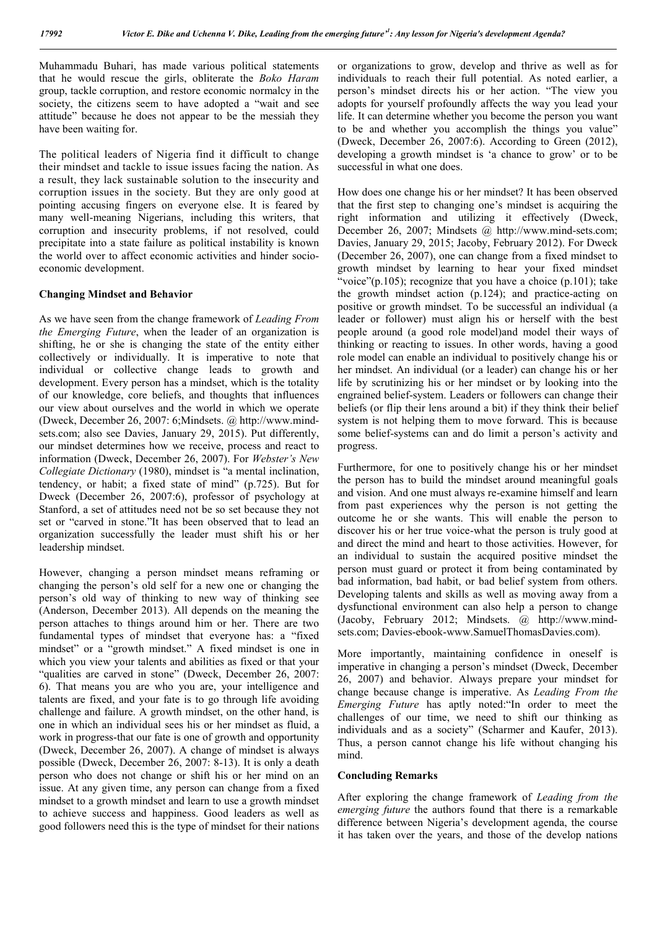Muhammadu Buhari, has made various political statements that he would rescue the girls, obliterate the *Boko Haram* group, tackle corruption, and restore economic normalcy in the society, the citizens seem to have adopted a "wait and see attitude" because he does not appear to be the messiah they have been waiting for.

The political leaders of Nigeria find it difficult to change their mindset and tackle to issue issues facing the nation. As a result, they lack sustainable solution to the insecurity and corruption issues in the society. But they are only good at pointing accusing fingers on everyone else. It is feared by many well-meaning Nigerians, including this writers, that corruption and insecurity problems, if not resolved, could precipitate into a state failure as political instability is known the world over to affect economic activities and hinder socioeconomic development.

#### **Changing Mindset and Behavior**

As we have seen from the change framework of *Leading From the Emerging Future*, when the leader of an organization is shifting, he or she is changing the state of the entity either collectively or individually. It is imperative to note that individual or collective change leads to growth and development. Every person has a mindset, which is the totality of our knowledge, core beliefs, and thoughts that influences our view about ourselves and the world in which we operate (Dweck, December 26, 2007: 6;Mindsets. @ http://www.mindsets.com; also see Davies, January 29, 2015). Put differently, our mindset determines how we receive, process and react to information (Dweck, December 26, 2007). For *Webster's New Collegiate Dictionary* (1980), mindset is "a mental inclination, tendency, or habit; a fixed state of mind" (p.725). But for Dweck (December 26, 2007:6), professor of psychology at Stanford, a set of attitudes need not be so set because they not set or "carved in stone."It has been observed that to lead an organization successfully the leader must shift his or her leadership mindset.

However, changing a person mindset means reframing or changing the person's old self for a new one or changing the person's old way of thinking to new way of thinking see (Anderson, December 2013). All depends on the meaning the person attaches to things around him or her. There are two fundamental types of mindset that everyone has: a "fixed mindset" or a "growth mindset." A fixed mindset is one in which you view your talents and abilities as fixed or that your "qualities are carved in stone" (Dweck, December 26, 2007: 6). That means you are who you are, your intelligence and talents are fixed, and your fate is to go through life avoiding challenge and failure. A growth mindset, on the other hand, is one in which an individual sees his or her mindset as fluid, a work in progress-that our fate is one of growth and opportunity (Dweck, December 26, 2007). A change of mindset is always possible (Dweck, December 26, 2007: 8-13). It is only a death person who does not change or shift his or her mind on an issue. At any given time, any person can change from a fixed mindset to a growth mindset and learn to use a growth mindset to achieve success and happiness. Good leaders as well as good followers need this is the type of mindset for their nations or organizations to grow, develop and thrive as well as for individuals to reach their full potential. As noted earlier, a person's mindset directs his or her action. "The view you adopts for yourself profoundly affects the way you lead your life. It can determine whether you become the person you want to be and whether you accomplish the things you value" (Dweck, December 26, 2007:6). According to Green (2012), developing a growth mindset is 'a chance to grow' or to be successful in what one does.

How does one change his or her mindset? It has been observed that the first step to changing one's mindset is acquiring the right information and utilizing it effectively (Dweck, December 26, 2007; Mindsets @ http://www.mind-sets.com; Davies, January 29, 2015; Jacoby, February 2012). For Dweck (December 26, 2007), one can change from a fixed mindset to growth mindset by learning to hear your fixed mindset "voice" $(p.105)$ ; recognize that you have a choice  $(p.101)$ ; take the growth mindset action (p.124); and practice-acting on positive or growth mindset. To be successful an individual (a leader or follower) must align his or herself with the best people around (a good role model)and model their ways of thinking or reacting to issues. In other words, having a good role model can enable an individual to positively change his or her mindset. An individual (or a leader) can change his or her life by scrutinizing his or her mindset or by looking into the engrained belief-system. Leaders or followers can change their beliefs (or flip their lens around a bit) if they think their belief system is not helping them to move forward. This is because some belief-systems can and do limit a person's activity and progress.

Furthermore, for one to positively change his or her mindset the person has to build the mindset around meaningful goals and vision. And one must always re-examine himself and learn from past experiences why the person is not getting the outcome he or she wants. This will enable the person to discover his or her true voice-what the person is truly good at and direct the mind and heart to those activities. However, for an individual to sustain the acquired positive mindset the person must guard or protect it from being contaminated by bad information, bad habit, or bad belief system from others. Developing talents and skills as well as moving away from a dysfunctional environment can also help a person to change (Jacoby, February 2012; Mindsets. @ http://www.mindsets.com; Davies-ebook-www.SamuelThomasDavies.com).

More importantly, maintaining confidence in oneself is imperative in changing a person's mindset (Dweck, December 26, 2007) and behavior. Always prepare your mindset for change because change is imperative. As *Leading From the Emerging Future* has aptly noted:"In order to meet the challenges of our time, we need to shift our thinking as individuals and as a society" (Scharmer and Kaufer, 2013). Thus, a person cannot change his life without changing his mind.

### **Concluding Remarks**

After exploring the change framework of *Leading from the emerging future* the authors found that there is a remarkable difference between Nigeria's development agenda, the course it has taken over the years, and those of the develop nations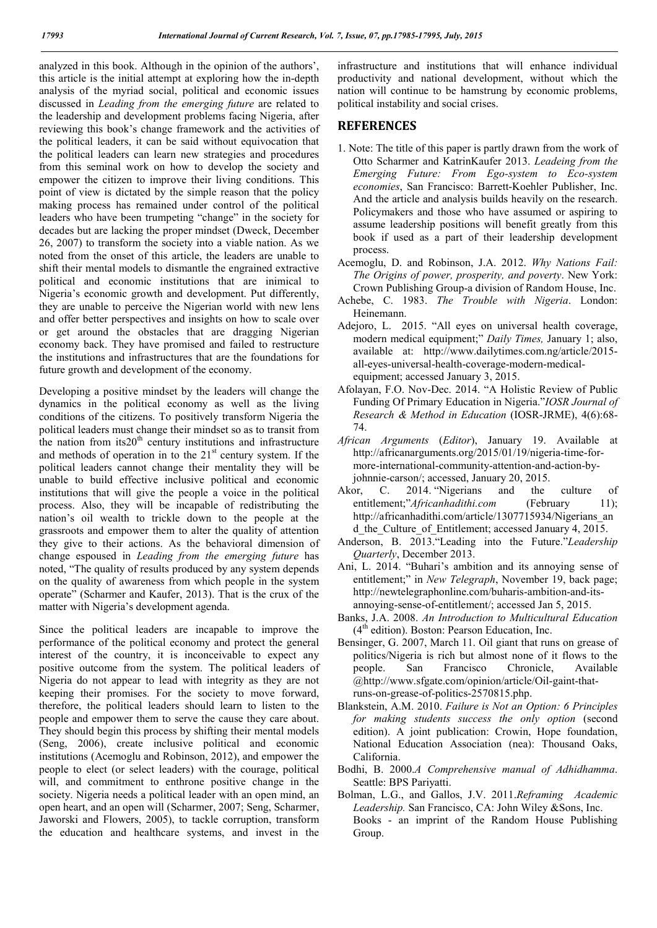analyzed in this book. Although in the opinion of the authors', this article is the initial attempt at exploring how the in-depth analysis of the myriad social, political and economic issues discussed in *Leading from the emerging future* are related to the leadership and development problems facing Nigeria, after reviewing this book's change framework and the activities of the political leaders, it can be said without equivocation that the political leaders can learn new strategies and procedures from this seminal work on how to develop the society and empower the citizen to improve their living conditions. This point of view is dictated by the simple reason that the policy making process has remained under control of the political leaders who have been trumpeting "change" in the society for decades but are lacking the proper mindset (Dweck, December 26, 2007) to transform the society into a viable nation. As we noted from the onset of this article, the leaders are unable to shift their mental models to dismantle the engrained extractive political and economic institutions that are inimical to Nigeria's economic growth and development. Put differently, they are unable to perceive the Nigerian world with new lens and offer better perspectives and insights on how to scale over or get around the obstacles that are dragging Nigerian economy back. They have promised and failed to restructure the institutions and infrastructures that are the foundations for future growth and development of the economy.

Developing a positive mindset by the leaders will change the dynamics in the political economy as well as the living conditions of the citizens. To positively transform Nigeria the political leaders must change their mindset so as to transit from the nation from its $20<sup>th</sup>$  century institutions and infrastructure and methods of operation in to the  $21<sup>st</sup>$  century system. If the political leaders cannot change their mentality they will be unable to build effective inclusive political and economic institutions that will give the people a voice in the political process. Also, they will be incapable of redistributing the nation's oil wealth to trickle down to the people at the grassroots and empower them to alter the quality of attention they give to their actions. As the behavioral dimension of change espoused in *Leading from the emerging future* has noted, "The quality of results produced by any system depends on the quality of awareness from which people in the system operate" (Scharmer and Kaufer, 2013). That is the crux of the matter with Nigeria's development agenda.

Since the political leaders are incapable to improve the performance of the political economy and protect the general interest of the country, it is inconceivable to expect any positive outcome from the system. The political leaders of Nigeria do not appear to lead with integrity as they are not keeping their promises. For the society to move forward, therefore, the political leaders should learn to listen to the people and empower them to serve the cause they care about. They should begin this process by shifting their mental models (Seng, 2006), create inclusive political and economic institutions (Acemoglu and Robinson, 2012), and empower the people to elect (or select leaders) with the courage, political will, and commitment to enthrone positive change in the society. Nigeria needs a political leader with an open mind, an open heart, and an open will (Scharmer, 2007; Seng, Scharmer, Jaworski and Flowers, 2005), to tackle corruption, transform the education and healthcare systems, and invest in the

infrastructure and institutions that will enhance individual productivity and national development, without which the nation will continue to be hamstrung by economic problems, political instability and social crises.

## **REFERENCES**

- 1. Note: The title of this paper is partly drawn from the work of Otto Scharmer and KatrinKaufer 2013. *Leadeing from the Emerging Future: From Ego-system to Eco-system economies*, San Francisco: Barrett-Koehler Publisher, Inc. And the article and analysis builds heavily on the research. Policymakers and those who have assumed or aspiring to assume leadership positions will benefit greatly from this book if used as a part of their leadership development process.
- Acemoglu, D. and Robinson, J.A. 2012. *Why Nations Fail: The Origins of power, prosperity, and poverty*. New York: Crown Publishing Group-a division of Random House, Inc.
- Achebe, C. 1983. *The Trouble with Nigeria*. London: Heinemann.
- Adejoro, L. 2015. "All eyes on universal health coverage, modern medical equipment;" *Daily Times,* January 1; also, available at: http://www.dailytimes.com.ng/article/2015 all-eyes-universal-health-coverage-modern-medicalequipment; accessed January 3, 2015.
- Afolayan, F.O. Nov-Dec. 2014. "A Holistic Review of Public Funding Of Primary Education in Nigeria."*IOSR Journal of Research & Method in Education* (IOSR-JRME), 4(6):68- 74.
- *African Arguments* (*Editor*), January 19. Available at http://africanarguments.org/2015/01/19/nigeria-time-formore-international-community-attention-and-action-byjohnnie-carson/; accessed, January 20, 2015.
- Akor, C. 2014. "Nigerians and the culture of entitlement;"*Africanhadithi.com* (February 11); http://africanhadithi.com/article/1307715934/Nigerians\_an d\_the\_Culture\_of\_Entitlement; accessed January 4, 2015.
- Anderson, B. 2013."Leading into the Future."*Leadership Quarterly*, December 2013.
- Ani, L. 2014. "Buhari's ambition and its annoying sense of entitlement;" in *New Telegraph*, November 19, back page; http://newtelegraphonline.com/buharis-ambition-and-itsannoying-sense-of-entitlement/; accessed Jan 5, 2015.
- Banks, J.A. 2008. *An Introduction to Multicultural Education*  $(4<sup>th</sup> edition)$ . Boston: Pearson Education, Inc.
- Bensinger, G. 2007, March 11. Oil giant that runs on grease of politics/Nigeria is rich but almost none of it flows to the people. San Francisco Chronicle, Available @http://www.sfgate.com/opinion/article/Oil-gaint-thatruns-on-grease-of-politics-2570815.php.
- Blankstein, A.M. 2010. *Failure is Not an Option: 6 Principles for making students success the only option* (second edition). A joint publication: Crowin, Hope foundation, National Education Association (nea): Thousand Oaks, California.
- Bodhi, B. 2000.*A Comprehensive manual of Adhidhamma*. Seattle: BPS Pariyatti.
- Bolman, L.G., and Gallos, J.V. 2011.*Reframing Academic Leadership.* San Francisco, CA: John Wiley &Sons, Inc. Books - an imprint of the Random House Publishing Group.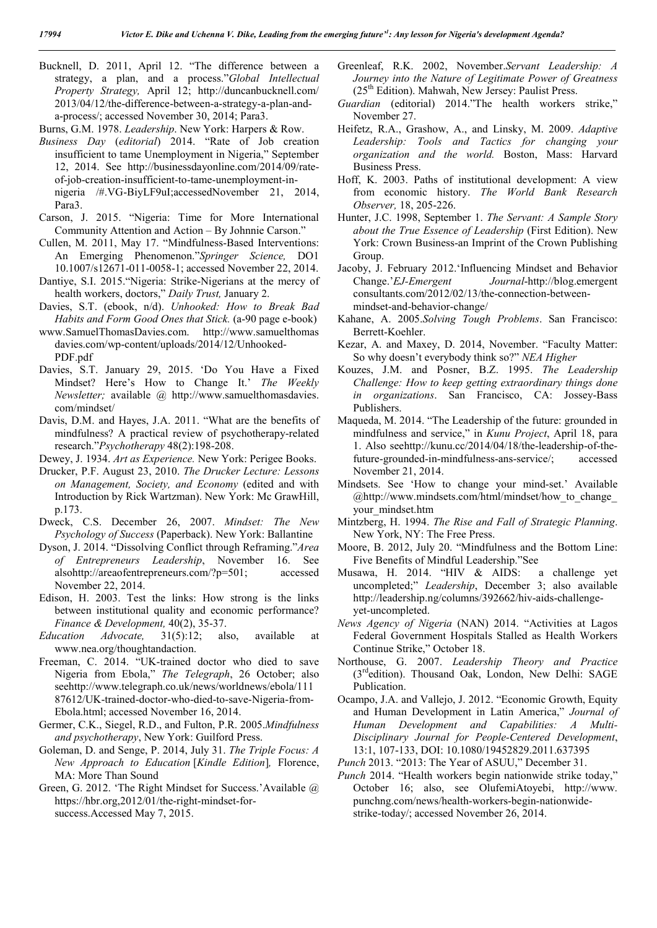- Bucknell, D. 2011, April 12. "The difference between a strategy, a plan, and a process."*Global Intellectual Property Strategy,* April 12; http://duncanbucknell.com/ 2013/04/12/the-difference-between-a-strategy-a-plan-anda-process/; accessed November 30, 2014; Para3.
- Burns, G.M. 1978. *Leadership*. New York: Harpers & Row.
- *Business Day* (*editorial*) 2014. "Rate of Job creation insufficient to tame Unemployment in Nigeria," September 12, 2014. See http://businessdayonline.com/2014/09/rateof-job-creation-insufficient-to-tame-unemployment-innigeria /#.VG-BiyLF9uI;accessedNovember 21, 2014, Para3.
- Carson, J. 2015. "Nigeria: Time for More International Community Attention and Action – By Johnnie Carson."
- Cullen, M. 2011, May 17. "Mindfulness-Based Interventions: An Emerging Phenomenon."*Springer Science,* DO1 10.1007/s12671-011-0058-1; accessed November 22, 2014.
- Dantiye, S.I. 2015."Nigeria: Strike-Nigerians at the mercy of health workers, doctors," *Daily Trust,* January 2.
- Davies, S.T. (ebook, n/d). *Unhooked: How to Break Bad Habits and Form Good Ones that Stick.* (a-90 page e-book)
- www.SamuelThomasDavies.com. http://www.samuelthomas davies.com/wp-content/uploads/2014/12/Unhooked-

PDF.pdf

- Davies, S.T. January 29, 2015. 'Do You Have a Fixed Mindset? Here's How to Change It.' *The Weekly Newsletter;* available @ http://www.samuelthomasdavies. com/mindset/
- Davis, D.M. and Hayes, J.A. 2011. "What are the benefits of mindfulness? A practical review of psychotherapy-related research."*Psychotherapy* 48(2):198-208.
- Dewey, J. 1934. *Art as Experience.* New York: Perigee Books.
- Drucker, P.F. August 23, 2010. *The Drucker Lecture: Lessons on Management, Society, and Economy* (edited and with Introduction by Rick Wartzman). New York: Mc GrawHill, p.173.
- Dweck, C.S. December 26, 2007. *Mindset: The New Psychology of Success* (Paperback). New York: Ballantine
- Dyson, J. 2014. "Dissolving Conflict through Reframing."*Area of Entrepreneurs Leadership*, November 16. See alsohttp://areaofentrepreneurs.com/?p=501; accessed November 22, 2014.
- Edison, H. 2003. Test the links: How strong is the links between institutional quality and economic performance? *Finance & Development,* 40(2), 35-37.
- *Education Advocate,* 31(5):12; also, available at www.nea.org/thoughtandaction.
- Freeman, C. 2014. "UK-trained doctor who died to save Nigeria from Ebola," *The Telegraph*, 26 October; also seehttp://www.telegraph.co.uk/news/worldnews/ebola/111 87612/UK-trained-doctor-who-died-to-save-Nigeria-from-Ebola.html; accessed November 16, 2014.
- Germer, C.K., Siegel, R.D., and Fulton, P.R. 2005.*Mindfulness and psychotherapy*, New York: Guilford Press.
- Goleman, D. and Senge, P. 2014, July 31. *The Triple Focus: A New Approach to Education* [*Kindle Edition*]*,* Florence, MA: More Than Sound
- Green, G. 2012. 'The Right Mindset for Success.'Available @ https://hbr.org,2012/01/the-right-mindset-forsuccess.Accessed May 7, 2015.
- Greenleaf, R.K. 2002, November.*Servant Leadership: A Journey into the Nature of Legitimate Power of Greatness*  $(25<sup>th</sup> Edition)$ . Mahwah, New Jersey: Paulist Press.
- *Guardian* (editorial) 2014."The health workers strike," November 27.
- Heifetz, R.A., Grashow, A., and Linsky, M. 2009. *Adaptive Leadership: Tools and Tactics for changing your organization and the world.* Boston, Mass: Harvard Business Press.
- Hoff, K. 2003. Paths of institutional development: A view from economic history. *The World Bank Research Observer,* 18, 205-226.
- Hunter, J.C. 1998, September 1. *The Servant: A Sample Story about the True Essence of Leadership* (First Edition). New York: Crown Business-an Imprint of the Crown Publishing Group.
- Jacoby, J. February 2012.'Influencing Mindset and Behavior Change.'*EJ-Emergent Journal*-http://blog.emergent consultants.com/2012/02/13/the-connection-betweenmindset-and-behavior-change/
- Kahane, A. 2005.*Solving Tough Problems*. San Francisco: Berrett-Koehler.
- Kezar, A. and Maxey, D. 2014, November. "Faculty Matter: So why doesn't everybody think so?" *NEA Higher*
- Kouzes, J.M. and Posner, B.Z. 1995. *The Leadership Challenge: How to keep getting extraordinary things done in organizations*. San Francisco, CA: Jossey-Bass Publishers.
- Maqueda, M. 2014. "The Leadership of the future: grounded in mindfulness and service," in *Kunu Project*, April 18, para 1. Also seehttp://kunu.cc/2014/04/18/the-leadership-of-thefuture-grounded-in-mindfulness-ans-service/; accessed November 21, 2014.
- Mindsets. See 'How to change your mind-set.' Available @http://www.mindsets.com/html/mindset/how\_to\_change\_ your\_mindset.htm
- Mintzberg, H. 1994. *The Rise and Fall of Strategic Planning*. New York, NY: The Free Press.
- Moore, B. 2012, July 20. "Mindfulness and the Bottom Line: Five Benefits of Mindful Leadership."See
- Musawa, H. 2014. "HIV & AIDS: a challenge yet uncompleted;" *Leadership*, December 3; also available http://leadership.ng/columns/392662/hiv-aids-challengeyet-uncompleted.
- *News Agency of Nigeria* (NAN) 2014. "Activities at Lagos Federal Government Hospitals Stalled as Health Workers Continue Strike," October 18.
- Northouse, G. 2007. *Leadership Theory and Practice*  (3rdedition). Thousand Oak, London, New Delhi: SAGE Publication.
- Ocampo, J.A. and Vallejo, J. 2012. "Economic Growth, Equity and Human Development in Latin America," *Journal of Human Development and Capabilities: A Multi-Disciplinary Journal for People-Centered Development*, 13:1, 107-133, DOI: 10.1080/19452829.2011.637395
- *Punch* 2013. "2013: The Year of ASUU," December 31.
- *Punch* 2014. "Health workers begin nationwide strike today," October 16; also, see OlufemiAtoyebi, http://www. punchng.com/news/health-workers-begin-nationwidestrike-today/; accessed November 26, 2014.